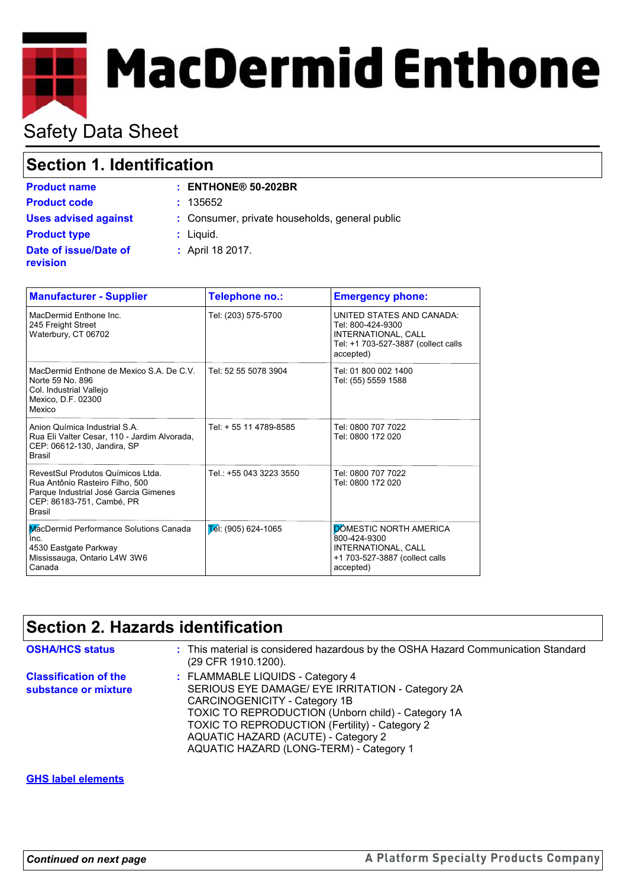# **MacDermid Enthone**

# Safety Data Sheet

# **Section 1. Identification**

|  | iiliilualivii |  |  |
|--|---------------|--|--|
|  |               |  |  |

| <b>Product name</b>               | $:$ ENTHONE <sup>®</sup> 50-202BR              |
|-----------------------------------|------------------------------------------------|
| <b>Product code</b>               | : 135652                                       |
| <b>Uses advised against</b>       | : Consumer, private households, general public |
| <b>Product type</b>               | $:$ Liquid.                                    |
| Date of issue/Date of<br>revision | : April 18 2017.                               |

| <b>Manufacturer - Supplier</b>                                                                                                                              | Telephone no.:          | <b>Emergency phone:</b>                                                                                                   |
|-------------------------------------------------------------------------------------------------------------------------------------------------------------|-------------------------|---------------------------------------------------------------------------------------------------------------------------|
| MacDermid Enthone Inc.<br>245 Freight Street<br>Waterbury, CT 06702                                                                                         | Tel: (203) 575-5700     | UNITED STATES AND CANADA:<br>Tel: 800-424-9300<br>INTERNATIONAL, CALL<br>Tel: +1 703-527-3887 (collect calls<br>accepted) |
| MacDermid Enthone de Mexico S.A. De C.V.<br>Norte 59 No. 896<br>Col. Industrial Vallejo<br>Mexico, D.F. 02300<br>Mexico                                     | Tel: 52 55 5078 3904    | Tel: 01 800 002 1400<br>Tel: (55) 5559 1588                                                                               |
| Anion Química Industrial S.A.<br>Rua Eli Valter Cesar, 110 - Jardim Alvorada,<br>CEP: 06612-130, Jandira, SP<br><b>Brasil</b>                               | Tel: + 55 11 4789-8585  | Tel: 0800 707 7022<br>Tel: 0800 172 020                                                                                   |
| RevestSul Produtos Químicos Ltda.<br>Rua Antônio Rasteiro Filho, 500<br>Parque Industrial José Garcia Gimenes<br>CEP: 86183-751, Cambé, PR<br><b>Brasil</b> | Tel.: +55 043 3223 3550 | Tel: 0800 707 7022<br>Tel: 0800 172 020                                                                                   |
| MacDermid Performance Solutions Canada<br>Inc.<br>4530 Eastgate Parkway<br>Mississauga, Ontario L4W 3W6<br>Canada                                           | $E$ el: (905) 624-1065  | <b>DÓMESTIC NORTH AMERICA</b><br>800-424-9300<br>INTERNATIONAL, CALL<br>+1 703-527-3887 (collect calls<br>accepted)       |

# **Section 2. Hazards identification**

| <b>OSHA/HCS status</b>                               | : This material is considered hazardous by the OSHA Hazard Communication Standard<br>(29 CFR 1910.1200).                                                                                                                                                                                                               |
|------------------------------------------------------|------------------------------------------------------------------------------------------------------------------------------------------------------------------------------------------------------------------------------------------------------------------------------------------------------------------------|
| <b>Classification of the</b><br>substance or mixture | : FLAMMABLE LIQUIDS - Category 4<br>SERIOUS EYE DAMAGE/ EYE IRRITATION - Category 2A<br>CARCINOGENICITY - Category 1B<br><b>TOXIC TO REPRODUCTION (Unborn child) - Category 1A</b><br>TOXIC TO REPRODUCTION (Fertility) - Category 2<br>AQUATIC HAZARD (ACUTE) - Category 2<br>AQUATIC HAZARD (LONG-TERM) - Category 1 |

## **GHS label elements**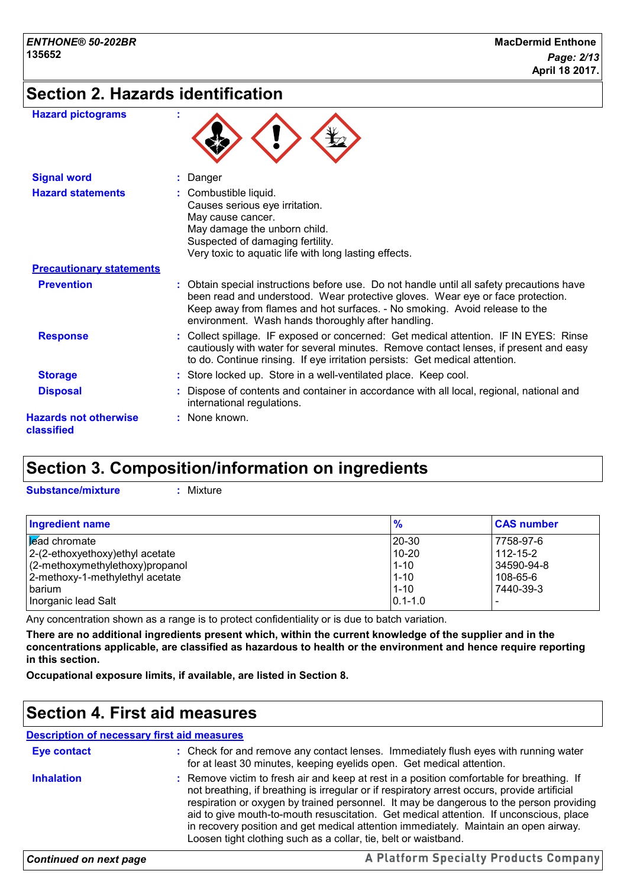# **Section 2. Hazards identification**

| <b>Hazard pictograms</b>                   |                                                                                                                                                                                                                                                                                                               |
|--------------------------------------------|---------------------------------------------------------------------------------------------------------------------------------------------------------------------------------------------------------------------------------------------------------------------------------------------------------------|
| <b>Signal word</b>                         | Danger                                                                                                                                                                                                                                                                                                        |
| <b>Hazard statements</b>                   | Combustible liquid.<br>Causes serious eye irritation.<br>May cause cancer.<br>May damage the unborn child.<br>Suspected of damaging fertility.<br>Very toxic to aquatic life with long lasting effects.                                                                                                       |
| <b>Precautionary statements</b>            |                                                                                                                                                                                                                                                                                                               |
| <b>Prevention</b>                          | Obtain special instructions before use. Do not handle until all safety precautions have<br>been read and understood. Wear protective gloves. Wear eye or face protection.<br>Keep away from flames and hot surfaces. - No smoking. Avoid release to the<br>environment. Wash hands thoroughly after handling. |
| <b>Response</b>                            | : Collect spillage. IF exposed or concerned: Get medical attention. IF IN EYES: Rinse<br>cautiously with water for several minutes. Remove contact lenses, if present and easy<br>to do. Continue rinsing. If eye irritation persists: Get medical attention.                                                 |
| <b>Storage</b>                             | : Store locked up. Store in a well-ventilated place. Keep cool.                                                                                                                                                                                                                                               |
| <b>Disposal</b>                            | Dispose of contents and container in accordance with all local, regional, national and<br>international regulations.                                                                                                                                                                                          |
| <b>Hazards not otherwise</b><br>classified | : None known.                                                                                                                                                                                                                                                                                                 |

## **Section 3. Composition/information on ingredients**

**Substance/mixture :** Mixture

| <b>Ingredient name</b>           | $\frac{9}{6}$ | <b>CAS number</b> |
|----------------------------------|---------------|-------------------|
| <b>E</b> ad chromate             | 20-30         | 7758-97-6         |
| 2-(2-ethoxyethoxy) ethyl acetate | $10 - 20$     | $112 - 15 - 2$    |
| (2-methoxymethylethoxy)propanol  | $1 - 10$      | 34590-94-8        |
| 2-methoxy-1-methylethyl acetate  | $1 - 10$      | 108-65-6          |
| barium                           | $1 - 10$      | 7440-39-3         |
| Inorganic lead Salt              | $0.1 - 1.0$   |                   |

Any concentration shown as a range is to protect confidentiality or is due to batch variation.

**There are no additional ingredients present which, within the current knowledge of the supplier and in the concentrations applicable, are classified as hazardous to health or the environment and hence require reporting in this section.**

**Occupational exposure limits, if available, are listed in Section 8.**

## **Section 4. First aid measures**

## **Description of necessary first aid measures**

| <b>Eye contact</b> | : Check for and remove any contact lenses. Immediately flush eyes with running water<br>for at least 30 minutes, keeping eyelids open. Get medical attention.                                                                                                                                                                                                                                                                                                                                                                             |
|--------------------|-------------------------------------------------------------------------------------------------------------------------------------------------------------------------------------------------------------------------------------------------------------------------------------------------------------------------------------------------------------------------------------------------------------------------------------------------------------------------------------------------------------------------------------------|
| <b>Inhalation</b>  | : Remove victim to fresh air and keep at rest in a position comfortable for breathing. If<br>not breathing, if breathing is irregular or if respiratory arrest occurs, provide artificial<br>respiration or oxygen by trained personnel. It may be dangerous to the person providing<br>aid to give mouth-to-mouth resuscitation. Get medical attention. If unconscious, place<br>in recovery position and get medical attention immediately. Maintain an open airway.<br>Loosen tight clothing such as a collar, tie, belt or waistband. |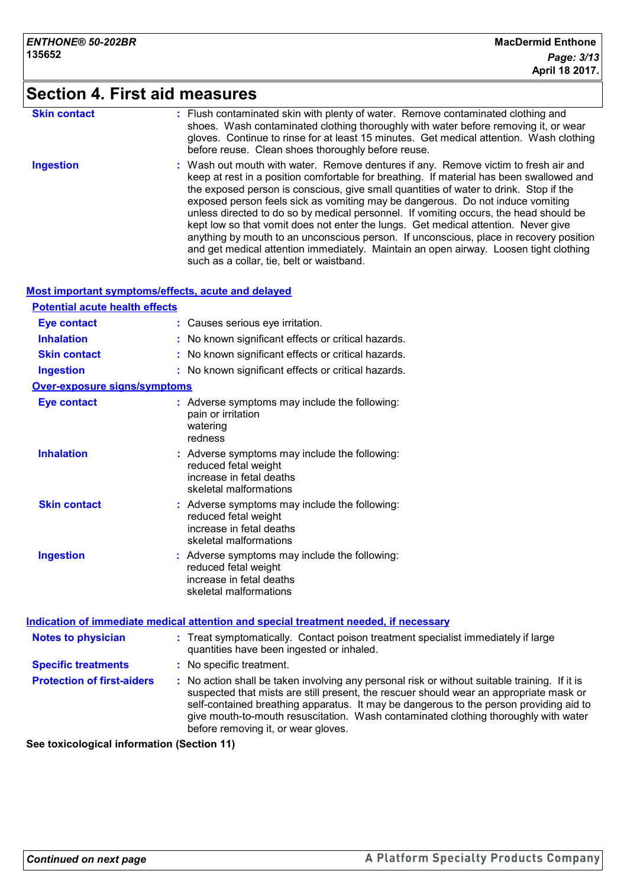# **Section 4. First aid measures**

| <b>Skin contact</b> | : Flush contaminated skin with plenty of water. Remove contaminated clothing and<br>shoes. Wash contaminated clothing thoroughly with water before removing it, or wear<br>gloves. Continue to rinse for at least 15 minutes. Get medical attention. Wash clothing<br>before reuse. Clean shoes thoroughly before reuse.                                                                                                                                                                                                                                                                                                                                                                                                                                                  |
|---------------------|---------------------------------------------------------------------------------------------------------------------------------------------------------------------------------------------------------------------------------------------------------------------------------------------------------------------------------------------------------------------------------------------------------------------------------------------------------------------------------------------------------------------------------------------------------------------------------------------------------------------------------------------------------------------------------------------------------------------------------------------------------------------------|
| <b>Ingestion</b>    | : Wash out mouth with water. Remove dentures if any. Remove victim to fresh air and<br>keep at rest in a position comfortable for breathing. If material has been swallowed and<br>the exposed person is conscious, give small quantities of water to drink. Stop if the<br>exposed person feels sick as vomiting may be dangerous. Do not induce vomiting<br>unless directed to do so by medical personnel. If vomiting occurs, the head should be<br>kept low so that vomit does not enter the lungs. Get medical attention. Never give<br>anything by mouth to an unconscious person. If unconscious, place in recovery position<br>and get medical attention immediately. Maintain an open airway. Loosen tight clothing<br>such as a collar, tie, belt or waistband. |

## **Most important symptoms/effects, acute and delayed**

| <b>Potential acute health effects</b> |                                                                                                                                                                                                                                                                                                                                                                                                                 |  |
|---------------------------------------|-----------------------------------------------------------------------------------------------------------------------------------------------------------------------------------------------------------------------------------------------------------------------------------------------------------------------------------------------------------------------------------------------------------------|--|
| <b>Eye contact</b>                    | : Causes serious eye irritation.                                                                                                                                                                                                                                                                                                                                                                                |  |
| <b>Inhalation</b>                     | No known significant effects or critical hazards.                                                                                                                                                                                                                                                                                                                                                               |  |
| <b>Skin contact</b>                   | : No known significant effects or critical hazards.                                                                                                                                                                                                                                                                                                                                                             |  |
| <b>Ingestion</b>                      | : No known significant effects or critical hazards.                                                                                                                                                                                                                                                                                                                                                             |  |
| <b>Over-exposure signs/symptoms</b>   |                                                                                                                                                                                                                                                                                                                                                                                                                 |  |
| <b>Eye contact</b>                    | : Adverse symptoms may include the following:<br>pain or irritation<br>watering<br>redness                                                                                                                                                                                                                                                                                                                      |  |
| <b>Inhalation</b>                     | : Adverse symptoms may include the following:<br>reduced fetal weight<br>increase in fetal deaths<br>skeletal malformations                                                                                                                                                                                                                                                                                     |  |
| <b>Skin contact</b>                   | : Adverse symptoms may include the following:<br>reduced fetal weight<br>increase in fetal deaths<br>skeletal malformations                                                                                                                                                                                                                                                                                     |  |
| <b>Ingestion</b>                      | : Adverse symptoms may include the following:<br>reduced fetal weight<br>increase in fetal deaths<br>skeletal malformations                                                                                                                                                                                                                                                                                     |  |
|                                       | <u>Indication of immediate medical attention and special treatment needed, if necessary</u>                                                                                                                                                                                                                                                                                                                     |  |
| <b>Notes to physician</b>             | : Treat symptomatically. Contact poison treatment specialist immediately if large<br>quantities have been ingested or inhaled.                                                                                                                                                                                                                                                                                  |  |
| <b>Specific treatments</b>            | : No specific treatment.                                                                                                                                                                                                                                                                                                                                                                                        |  |
| <b>Protection of first-aiders</b>     | : No action shall be taken involving any personal risk or without suitable training. If it is<br>suspected that mists are still present, the rescuer should wear an appropriate mask or<br>self-contained breathing apparatus. It may be dangerous to the person providing aid to<br>give mouth-to-mouth resuscitation. Wash contaminated clothing thoroughly with water<br>before removing it, or wear gloves. |  |

**See toxicological information (Section 11)**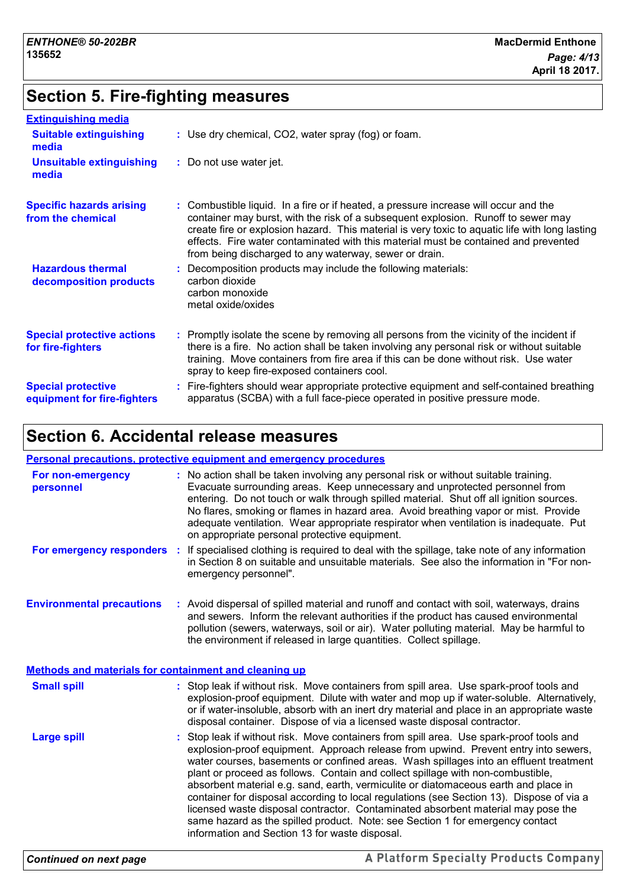## **Section 5. Fire-fighting measures**

| <b>Extinguishing media</b>                               |                                                                                                                                                                                                                                                                                                                                                                                                                              |
|----------------------------------------------------------|------------------------------------------------------------------------------------------------------------------------------------------------------------------------------------------------------------------------------------------------------------------------------------------------------------------------------------------------------------------------------------------------------------------------------|
| <b>Suitable extinguishing</b><br>media                   | : Use dry chemical, CO2, water spray (fog) or foam.                                                                                                                                                                                                                                                                                                                                                                          |
| <b>Unsuitable extinguishing</b><br>media                 | : Do not use water jet.                                                                                                                                                                                                                                                                                                                                                                                                      |
| <b>Specific hazards arising</b><br>from the chemical     | : Combustible liquid. In a fire or if heated, a pressure increase will occur and the<br>container may burst, with the risk of a subsequent explosion. Runoff to sewer may<br>create fire or explosion hazard. This material is very toxic to aquatic life with long lasting<br>effects. Fire water contaminated with this material must be contained and prevented<br>from being discharged to any waterway, sewer or drain. |
| <b>Hazardous thermal</b><br>decomposition products       | : Decomposition products may include the following materials:<br>carbon dioxide<br>carbon monoxide<br>metal oxide/oxides                                                                                                                                                                                                                                                                                                     |
| <b>Special protective actions</b><br>for fire-fighters   | : Promptly isolate the scene by removing all persons from the vicinity of the incident if<br>there is a fire. No action shall be taken involving any personal risk or without suitable<br>training. Move containers from fire area if this can be done without risk. Use water<br>spray to keep fire-exposed containers cool.                                                                                                |
| <b>Special protective</b><br>equipment for fire-fighters | : Fire-fighters should wear appropriate protective equipment and self-contained breathing<br>apparatus (SCBA) with a full face-piece operated in positive pressure mode.                                                                                                                                                                                                                                                     |

## **Section 6. Accidental release measures**

#### **Environmental precautions Personal precautions, protective equipment and emergency procedures** : Stop leak if without risk. Move containers from spill area. Use spark-proof tools and explosion-proof equipment. Approach release from upwind. Prevent entry into sewers, water courses, basements or confined areas. Wash spillages into an effluent treatment plant or proceed as follows. Contain and collect spillage with non-combustible, **:** Avoid dispersal of spilled material and runoff and contact with soil, waterways, drains **:** No action shall be taken involving any personal risk or without suitable training. Evacuate surrounding areas. Keep unnecessary and unprotected personnel from entering. Do not touch or walk through spilled material. Shut off all ignition sources. No flares, smoking or flames in hazard area. Avoid breathing vapor or mist. Provide adequate ventilation. Wear appropriate respirator when ventilation is inadequate. Put on appropriate personal protective equipment. and sewers. Inform the relevant authorities if the product has caused environmental pollution (sewers, waterways, soil or air). Water polluting material. May be harmful to the environment if released in large quantities. Collect spillage. **Large spill :** Stop leak if without risk. Move containers from spill area. Use spark-proof tools and explosion-proof equipment. Dilute with water and mop up if water-soluble. Alternatively, or if water-insoluble, absorb with an inert dry material and place in an appropriate waste disposal container. Dispose of via a licensed waste disposal contractor. **Small spill : Methods and materials for containment and cleaning up For non-emergency personnel For emergency responders** : If specialised clothing is required to deal with the spillage, take note of any information in Section 8 on suitable and unsuitable materials. See also the information in "For nonemergency personnel".

absorbent material e.g. sand, earth, vermiculite or diatomaceous earth and place in container for disposal according to local regulations (see Section 13). Dispose of via a licensed waste disposal contractor. Contaminated absorbent material may pose the same hazard as the spilled product. Note: see Section 1 for emergency contact information and Section 13 for waste disposal.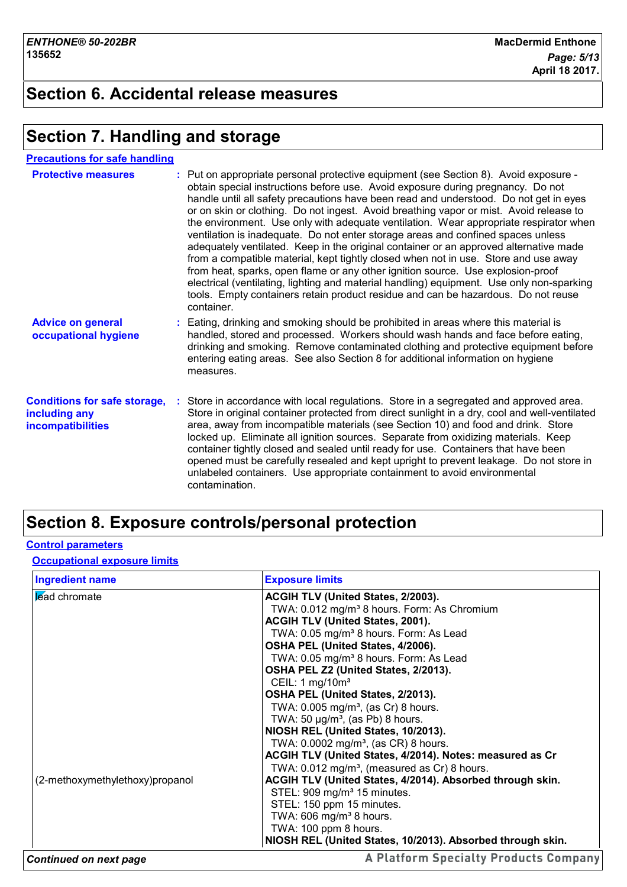## **Section 6. Accidental release measures**

## **Section 7. Handling and storage**

**Precautions for safe handling**

| <b>Protective measures</b>                                                       | : Put on appropriate personal protective equipment (see Section 8). Avoid exposure -<br>obtain special instructions before use. Avoid exposure during pregnancy. Do not<br>handle until all safety precautions have been read and understood. Do not get in eyes<br>or on skin or clothing. Do not ingest. Avoid breathing vapor or mist. Avoid release to<br>the environment. Use only with adequate ventilation. Wear appropriate respirator when<br>ventilation is inadequate. Do not enter storage areas and confined spaces unless<br>adequately ventilated. Keep in the original container or an approved alternative made<br>from a compatible material, kept tightly closed when not in use. Store and use away<br>from heat, sparks, open flame or any other ignition source. Use explosion-proof<br>electrical (ventilating, lighting and material handling) equipment. Use only non-sparking<br>tools. Empty containers retain product residue and can be hazardous. Do not reuse<br>container. |  |
|----------------------------------------------------------------------------------|------------------------------------------------------------------------------------------------------------------------------------------------------------------------------------------------------------------------------------------------------------------------------------------------------------------------------------------------------------------------------------------------------------------------------------------------------------------------------------------------------------------------------------------------------------------------------------------------------------------------------------------------------------------------------------------------------------------------------------------------------------------------------------------------------------------------------------------------------------------------------------------------------------------------------------------------------------------------------------------------------------|--|
| <b>Advice on general</b><br>occupational hygiene                                 | : Eating, drinking and smoking should be prohibited in areas where this material is<br>handled, stored and processed. Workers should wash hands and face before eating,<br>drinking and smoking. Remove contaminated clothing and protective equipment before<br>entering eating areas. See also Section 8 for additional information on hygiene<br>measures.                                                                                                                                                                                                                                                                                                                                                                                                                                                                                                                                                                                                                                              |  |
| <b>Conditions for safe storage,</b><br>including any<br><b>incompatibilities</b> | : Store in accordance with local regulations. Store in a segregated and approved area.<br>Store in original container protected from direct sunlight in a dry, cool and well-ventilated<br>area, away from incompatible materials (see Section 10) and food and drink. Store<br>locked up. Eliminate all ignition sources. Separate from oxidizing materials. Keep<br>container tightly closed and sealed until ready for use. Containers that have been<br>opened must be carefully resealed and kept upright to prevent leakage. Do not store in<br>unlabeled containers. Use appropriate containment to avoid environmental<br>contamination.                                                                                                                                                                                                                                                                                                                                                           |  |

## **Section 8. Exposure controls/personal protection**

## **Control parameters**

**Occupational exposure limits**

| <b>Ingredient name</b>          | <b>Exposure limits</b>                                     |
|---------------------------------|------------------------------------------------------------|
| lead chromate                   | ACGIH TLV (United States, 2/2003).                         |
|                                 | TWA: 0.012 mg/m <sup>3</sup> 8 hours. Form: As Chromium    |
|                                 | <b>ACGIH TLV (United States, 2001).</b>                    |
|                                 | TWA: 0.05 mg/m <sup>3</sup> 8 hours. Form: As Lead         |
|                                 | OSHA PEL (United States, 4/2006).                          |
|                                 | TWA: 0.05 mg/m <sup>3</sup> 8 hours. Form: As Lead         |
|                                 | OSHA PEL Z2 (United States, 2/2013).                       |
|                                 | CEIL: 1 $mg/10m^3$                                         |
|                                 | OSHA PEL (United States, 2/2013).                          |
|                                 | TWA: $0.005$ mg/m <sup>3</sup> , (as Cr) 8 hours.          |
|                                 | TWA: 50 $\mu$ g/m <sup>3</sup> , (as Pb) 8 hours.          |
|                                 | NIOSH REL (United States, 10/2013).                        |
|                                 | TWA: 0.0002 mg/m <sup>3</sup> , (as CR) 8 hours.           |
|                                 | ACGIH TLV (United States, 4/2014). Notes: measured as Cr   |
|                                 | TWA: 0.012 mg/m <sup>3</sup> , (measured as Cr) 8 hours.   |
| (2-methoxymethylethoxy)propanol | ACGIH TLV (United States, 4/2014). Absorbed through skin.  |
|                                 | STEL: 909 mg/m <sup>3</sup> 15 minutes.                    |
|                                 | STEL: 150 ppm 15 minutes.                                  |
|                                 | TWA: 606 mg/m <sup>3</sup> 8 hours.                        |
|                                 | TWA: 100 ppm 8 hours.                                      |
|                                 | NIOSH REL (United States, 10/2013). Absorbed through skin. |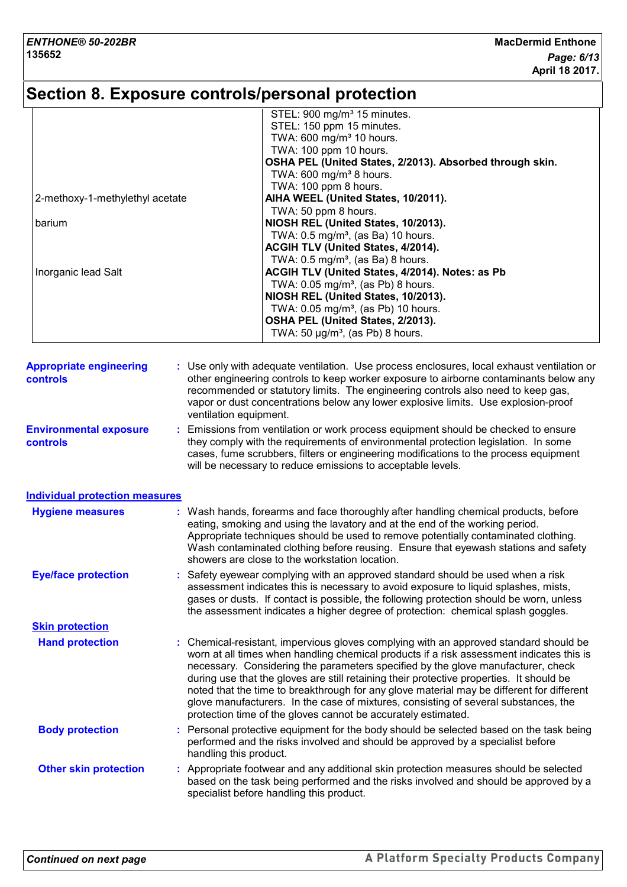# **Section 8. Exposure controls/personal protection**

|                                       | STEL: 900 mg/m <sup>3</sup> 15 minutes.                                                         |
|---------------------------------------|-------------------------------------------------------------------------------------------------|
|                                       | STEL: 150 ppm 15 minutes.                                                                       |
|                                       | TWA: 600 mg/m <sup>3</sup> 10 hours.                                                            |
|                                       | TWA: 100 ppm 10 hours.                                                                          |
|                                       | OSHA PEL (United States, 2/2013). Absorbed through skin.<br>TWA: 600 mg/m <sup>3</sup> 8 hours. |
|                                       | TWA: 100 ppm 8 hours.                                                                           |
| 2-methoxy-1-methylethyl acetate       | AIHA WEEL (United States, 10/2011).                                                             |
|                                       | TWA: 50 ppm 8 hours.                                                                            |
| barium                                | NIOSH REL (United States, 10/2013).                                                             |
|                                       | TWA: 0.5 mg/m <sup>3</sup> , (as Ba) 10 hours.                                                  |
|                                       | ACGIH TLV (United States, 4/2014).                                                              |
|                                       | TWA: $0.5 \text{ mg/m}^3$ , (as Ba) 8 hours.                                                    |
| Inorganic lead Salt                   | ACGIH TLV (United States, 4/2014). Notes: as Pb                                                 |
|                                       | TWA: 0.05 mg/m <sup>3</sup> , (as Pb) 8 hours.                                                  |
|                                       | NIOSH REL (United States, 10/2013).                                                             |
|                                       | TWA: 0.05 mg/m <sup>3</sup> , (as Pb) 10 hours.                                                 |
|                                       | OSHA PEL (United States, 2/2013).                                                               |
|                                       | TWA: 50 $\mu$ g/m <sup>3</sup> , (as Pb) 8 hours.                                               |
|                                       |                                                                                                 |
| <b>Appropriate engineering</b>        | Use only with adequate ventilation. Use process enclosures, local exhaust ventilation or        |
| controls                              | other engineering controls to keep worker exposure to airborne contaminants below any           |
|                                       | recommended or statutory limits. The engineering controls also need to keep gas,                |
|                                       | vapor or dust concentrations below any lower explosive limits. Use explosion-proof              |
|                                       | ventilation equipment.                                                                          |
| <b>Environmental exposure</b>         | Emissions from ventilation or work process equipment should be checked to ensure                |
| controls                              | they comply with the requirements of environmental protection legislation. In some              |
|                                       | cases, fume scrubbers, filters or engineering modifications to the process equipment            |
|                                       | will be necessary to reduce emissions to acceptable levels.                                     |
| <b>Individual protection measures</b> |                                                                                                 |
| <b>Hygiene measures</b>               | : Wash hands, forearms and face thoroughly after handling chemical products, before             |
|                                       | eating, smoking and using the lavatory and at the end of the working period.                    |
|                                       | Appropriate techniques should be used to remove potentially contaminated clothing.              |
|                                       | Wash contaminated clothing before reusing. Ensure that eyewash stations and safety              |
|                                       | showers are close to the workstation location.                                                  |
| <b>Eye/face protection</b>            | : Safety eyewear complying with an approved standard should be used when a risk                 |
|                                       | assessment indicates this is necessary to avoid exposure to liquid splashes, mists,             |
|                                       | gases or dusts. If contact is possible, the following protection should be worn, unless         |
|                                       | the assessment indicates a higher degree of protection: chemical splash goggles.                |
| <b>Skin protection</b>                |                                                                                                 |
| <b>Hand protection</b>                | : Chemical-resistant, impervious gloves complying with an approved standard should be           |
|                                       | worn at all times when handling chemical products if a risk assessment indicates this is        |
|                                       | necessary. Considering the parameters specified by the glove manufacturer, check                |
|                                       | during use that the gloves are still retaining their protective properties. It should be        |
|                                       | noted that the time to breakthrough for any glove material may be different for different       |
|                                       | glove manufacturers. In the case of mixtures, consisting of several substances, the             |
|                                       | protection time of the gloves cannot be accurately estimated.                                   |
| <b>Body protection</b>                | Personal protective equipment for the body should be selected based on the task being           |
|                                       |                                                                                                 |
|                                       | performed and the risks involved and should be approved by a specialist before                  |
|                                       | handling this product.                                                                          |
| <b>Other skin protection</b>          | : Appropriate footwear and any additional skin protection measures should be selected           |
|                                       | based on the task being performed and the risks involved and should be approved by a            |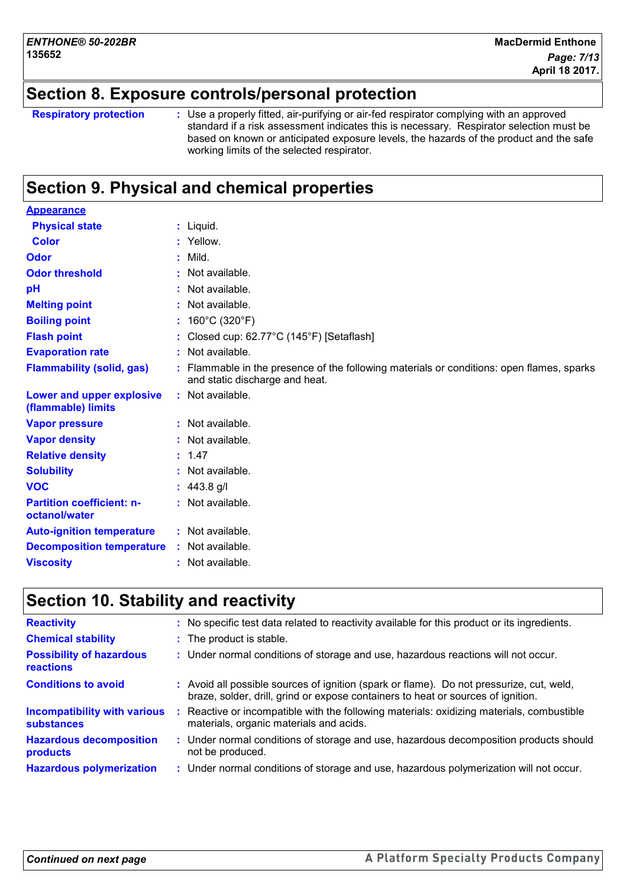## **Section 8. Exposure controls/personal protection**

**Respiratory protection :**

Use a properly fitted, air-purifying or air-fed respirator complying with an approved standard if a risk assessment indicates this is necessary. Respirator selection must be based on known or anticipated exposure levels, the hazards of the product and the safe working limits of the selected respirator.

## **Section 9. Physical and chemical properties**

| <b>Appearance</b>                                 |                                                                                                                             |
|---------------------------------------------------|-----------------------------------------------------------------------------------------------------------------------------|
| <b>Physical state</b>                             | $:$ Liquid.                                                                                                                 |
| <b>Color</b>                                      | : Yellow.                                                                                                                   |
| Odor                                              | $:$ Mild.                                                                                                                   |
| <b>Odor threshold</b>                             | : Not available.                                                                                                            |
| pH                                                | : Not available.                                                                                                            |
| <b>Melting point</b>                              | : Not available.                                                                                                            |
| <b>Boiling point</b>                              | : $160^{\circ}$ C (320 $^{\circ}$ F)                                                                                        |
| <b>Flash point</b>                                | : Closed cup: 62.77°C (145°F) [Setaflash]                                                                                   |
| <b>Evaporation rate</b>                           | : Not available.                                                                                                            |
| <b>Flammability (solid, gas)</b>                  | : Flammable in the presence of the following materials or conditions: open flames, sparks<br>and static discharge and heat. |
| Lower and upper explosive<br>(flammable) limits   | : Not available.                                                                                                            |
| <b>Vapor pressure</b>                             | : Not available.                                                                                                            |
| <b>Vapor density</b>                              | : Not available.                                                                                                            |
| <b>Relative density</b>                           | : 1.47                                                                                                                      |
| <b>Solubility</b>                                 | $:$ Not available.                                                                                                          |
| <b>VOC</b>                                        | : $443.8$ g/l                                                                                                               |
| <b>Partition coefficient: n-</b><br>octanol/water | : Not available.                                                                                                            |
| <b>Auto-ignition temperature</b>                  | : Not available.                                                                                                            |
| <b>Decomposition temperature</b>                  | : Not available.                                                                                                            |
| <b>Viscosity</b>                                  | : Not available.                                                                                                            |

## **Section 10. Stability and reactivity**

| <b>Reactivity</b>                                        | No specific test data related to reactivity available for this product or its ingredients.                                                                                   |
|----------------------------------------------------------|------------------------------------------------------------------------------------------------------------------------------------------------------------------------------|
| <b>Chemical stability</b>                                | : The product is stable.                                                                                                                                                     |
| <b>Possibility of hazardous</b><br>reactions             | : Under normal conditions of storage and use, hazardous reactions will not occur.                                                                                            |
| <b>Conditions to avoid</b>                               | : Avoid all possible sources of ignition (spark or flame). Do not pressurize, cut, weld,<br>braze, solder, drill, grind or expose containers to heat or sources of ignition. |
| <b>Incompatibility with various</b><br><b>substances</b> | Reactive or incompatible with the following materials: oxidizing materials, combustible<br>materials, organic materials and acids.                                           |
| <b>Hazardous decomposition</b><br>products               | : Under normal conditions of storage and use, hazardous decomposition products should<br>not be produced.                                                                    |
| <b>Hazardous polymerization</b>                          | : Under normal conditions of storage and use, hazardous polymerization will not occur.                                                                                       |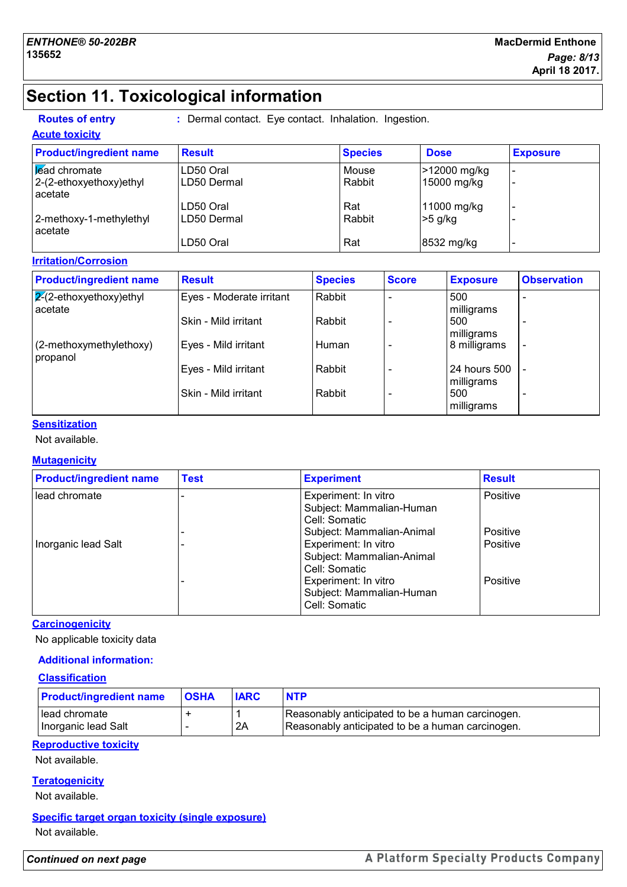# **Section 11. Toxicological information**

**Routes of entry :** Dermal contact. Eye contact. Inhalation. Ingestion.

#### **Acute toxicity**

| <b>Product/ingredient name</b>        | <b>Result</b> | <b>Species</b> | <b>Dose</b>  | <b>Exposure</b> |
|---------------------------------------|---------------|----------------|--------------|-----------------|
| <b>Lead chromate</b>                  | LD50 Oral     | Mouse          | >12000 mg/kg |                 |
| $ 2-(2-ethoxyethoxy)ethyl$<br>acetate | LD50 Dermal   | Rabbit         | 15000 mg/kg  |                 |
|                                       | LD50 Oral     | Rat            | 11000 mg/kg  |                 |
| 2-methoxy-1-methylethyl<br>acetate    | LD50 Dermal   | Rabbit         | $>5$ g/kg    |                 |
|                                       | LD50 Oral     | Rat            | 8532 mg/kg   |                 |

## **Irritation/Corrosion**

| <b>Product/ingredient name</b>        | <b>Result</b>            | <b>Species</b> | <b>Score</b> | <b>Exposure</b>            | <b>Observation</b>       |
|---------------------------------------|--------------------------|----------------|--------------|----------------------------|--------------------------|
| $ 2(2-ethoxyethoxy)$ ethyl<br>acetate | Eyes - Moderate irritant | Rabbit         |              | 500<br>milligrams          | $\overline{\phantom{0}}$ |
|                                       | Skin - Mild irritant     | Rabbit         |              | 500<br>milligrams          |                          |
| (2-methoxymethylethoxy)<br>propanol   | Eyes - Mild irritant     | Human          |              | 8 milligrams               | $\overline{\phantom{a}}$ |
|                                       | Eyes - Mild irritant     | Rabbit         |              | 24 hours 500<br>milligrams |                          |
|                                       | Skin - Mild irritant     | Rabbit         |              | 500<br>milligrams          | $\overline{\phantom{0}}$ |

## **Sensitization**

## Not available.

## **Mutagenicity**

| <b>Product/ingredient name</b> | <b>Test</b> | <b>Experiment</b>                                                                               | <b>Result</b>        |
|--------------------------------|-------------|-------------------------------------------------------------------------------------------------|----------------------|
| lead chromate                  |             | Experiment: In vitro<br>Subject: Mammalian-Human<br>Cell: Somatic                               | Positive             |
| Inorganic lead Salt            |             | Subject: Mammalian-Animal<br>Experiment: In vitro<br>Subject: Mammalian-Animal<br>Cell: Somatic | Positive<br>Positive |
|                                |             | Experiment: In vitro<br>Subject: Mammalian-Human<br>Cell: Somatic                               | Positive             |

#### **Carcinogenicity**

No applicable toxicity data

## **Additional information:**

#### **Classification**

| <b>Product/ingredient name</b>       | <b>OSHA</b> | <b>IARC</b> | <b>NTP</b>                                                                                           |
|--------------------------------------|-------------|-------------|------------------------------------------------------------------------------------------------------|
| Head chromate<br>Inorganic lead Salt |             | 2A          | Reasonably anticipated to be a human carcinogen.<br>Reasonably anticipated to be a human carcinogen. |

## **Reproductive toxicity**

Not available.

## **Teratogenicity**

Not available.

## **Specific target organ toxicity (single exposure)**

Not available.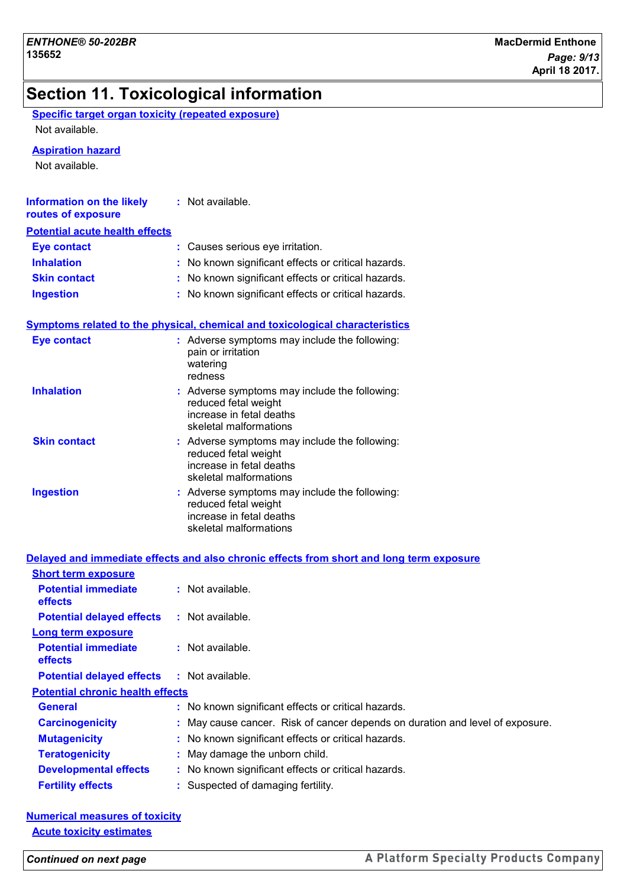# **Section 11. Toxicological information**

| Specific target organ toxicity (repeated exposure) |  |
|----------------------------------------------------|--|
| Not available.                                     |  |

#### **Aspiration hazard**

Not available.

| <b>Information on the likely</b><br>routes of exposure | : Not available.                                    |
|--------------------------------------------------------|-----------------------------------------------------|
| <b>Potential acute health effects</b>                  |                                                     |
| <b>Eye contact</b>                                     | : Causes serious eye irritation.                    |
| <b>Inhalation</b>                                      | : No known significant effects or critical hazards. |
| <b>Skin contact</b>                                    | : No known significant effects or critical hazards. |
| <b>Ingestion</b>                                       | : No known significant effects or critical hazards. |

#### **Symptoms related to the physical, chemical and toxicological characteristics**

| <b>Eye contact</b>  | : Adverse symptoms may include the following:<br>pain or irritation<br>watering<br>redness                                  |
|---------------------|-----------------------------------------------------------------------------------------------------------------------------|
| <b>Inhalation</b>   | : Adverse symptoms may include the following:<br>reduced fetal weight<br>increase in fetal deaths<br>skeletal malformations |
| <b>Skin contact</b> | : Adverse symptoms may include the following:<br>reduced fetal weight<br>increase in fetal deaths<br>skeletal malformations |
| <b>Ingestion</b>    | : Adverse symptoms may include the following:<br>reduced fetal weight<br>increase in fetal deaths<br>skeletal malformations |

|                                              | Delayed and immediate effects and also chronic effects from short and long term exposure |
|----------------------------------------------|------------------------------------------------------------------------------------------|
| <b>Short term exposure</b>                   |                                                                                          |
| <b>Potential immediate</b><br><b>effects</b> | $:$ Not available.                                                                       |
| <b>Potential delayed effects</b>             | : Not available.                                                                         |
| <b>Long term exposure</b>                    |                                                                                          |
| <b>Potential immediate</b><br><b>effects</b> | $:$ Not available.                                                                       |
| <b>Potential delayed effects</b>             | : Not available.                                                                         |
| <b>Potential chronic health effects</b>      |                                                                                          |
| <b>General</b>                               | : No known significant effects or critical hazards.                                      |
| <b>Carcinogenicity</b>                       | : May cause cancer. Risk of cancer depends on duration and level of exposure.            |
| <b>Mutagenicity</b>                          | : No known significant effects or critical hazards.                                      |
| <b>Teratogenicity</b>                        | : May damage the unborn child.                                                           |
| <b>Developmental effects</b>                 | : No known significant effects or critical hazards.                                      |
| <b>Fertility effects</b>                     | : Suspected of damaging fertility.                                                       |

## **Numerical measures of toxicity Acute toxicity estimates**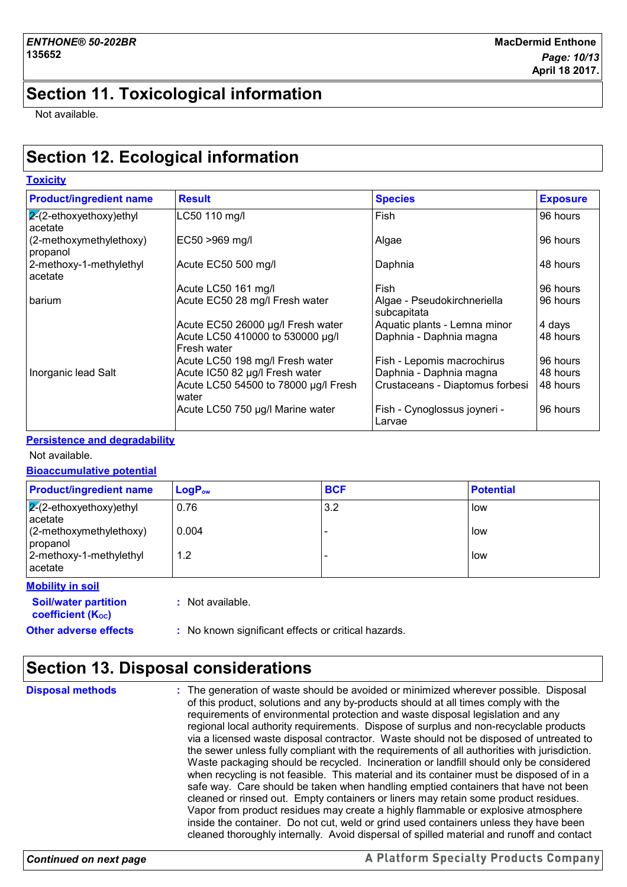## **Section 11. Toxicological information**

Not available.

**Toxicity**

# **Section 12. Ecological information**

| <b>Product/ingredient name</b>        | <b>Result</b>                                   | <b>Species</b>                             | <b>Exposure</b> |
|---------------------------------------|-------------------------------------------------|--------------------------------------------|-----------------|
| $ 2(2-ethoxyethoxy)$ ethyl<br>acetate | LC50 110 mg/l                                   | Fish                                       | 96 hours        |
| (2-methoxymethylethoxy)<br>propanol   | EC50 >969 mg/l                                  | Algae                                      | 96 hours        |
| 2-methoxy-1-methylethyl<br>acetate    | Acute EC50 500 mg/l                             | Daphnia                                    | 48 hours        |
|                                       | Acute LC50 161 mg/l                             | Fish                                       | 96 hours        |
| barium                                | Acute EC50 28 mg/l Fresh water                  | Algae - Pseudokirchneriella<br>subcapitata | 96 hours        |
|                                       | Acute EC50 26000 µg/l Fresh water               | Aquatic plants - Lemna minor               | 4 days          |
|                                       | Acute LC50 410000 to 530000 µg/l<br>Fresh water | Daphnia - Daphnia magna                    | 48 hours        |
|                                       | Acute LC50 198 mg/l Fresh water                 | Fish - Lepomis macrochirus                 | 96 hours        |
| Inorganic lead Salt                   | Acute IC50 82 µg/l Fresh water                  | Daphnia - Daphnia magna                    | 48 hours        |
|                                       | Acute LC50 54500 to 78000 µg/l Fresh<br>water   | Crustaceans - Diaptomus forbesi            | 48 hours        |
|                                       | Acute LC50 750 µg/l Marine water                | Fish - Cynoglossus joyneri -<br>Larvae     | 96 hours        |

#### **Persistence and degradability**

Not available.

#### **Bioaccumulative potential**

| <b>Product/ingredient name</b>            | $LogP_{ow}$ | <b>BCF</b> | <b>Potential</b> |
|-------------------------------------------|-------------|------------|------------------|
| $\sqrt{2}$ -ethoxyethoxy)ethyl<br>acetate | 0.76        | 3.2        | low              |
| $(2-methoxymethylethoxy)$<br>propanol     | 0.004       |            | low              |
| 2-methoxy-1-methylethyl<br>l acetate      | 1.2         |            | low              |
| Mobility in eail                          |             |            |                  |

**Other adverse effects** : No known significant effects or critical hazards. **Soil/water partition coefficient (KOC) :** Not available. **Mobility in soil**

# **Section 13. Disposal considerations**

The generation of waste should be avoided or minimized wherever possible. Disposal of this product, solutions and any by-products should at all times comply with the requirements of environmental protection and waste disposal legislation and any regional local authority requirements. Dispose of surplus and non-recyclable products via a licensed waste disposal contractor. Waste should not be disposed of untreated to the sewer unless fully compliant with the requirements of all authorities with jurisdiction. Waste packaging should be recycled. Incineration or landfill should only be considered when recycling is not feasible. This material and its container must be disposed of in a safe way. Care should be taken when handling emptied containers that have not been cleaned or rinsed out. Empty containers or liners may retain some product residues. Vapor from product residues may create a highly flammable or explosive atmosphere inside the container. Do not cut, weld or grind used containers unless they have been cleaned thoroughly internally. Avoid dispersal of spilled material and runoff and contact **Disposal methods :**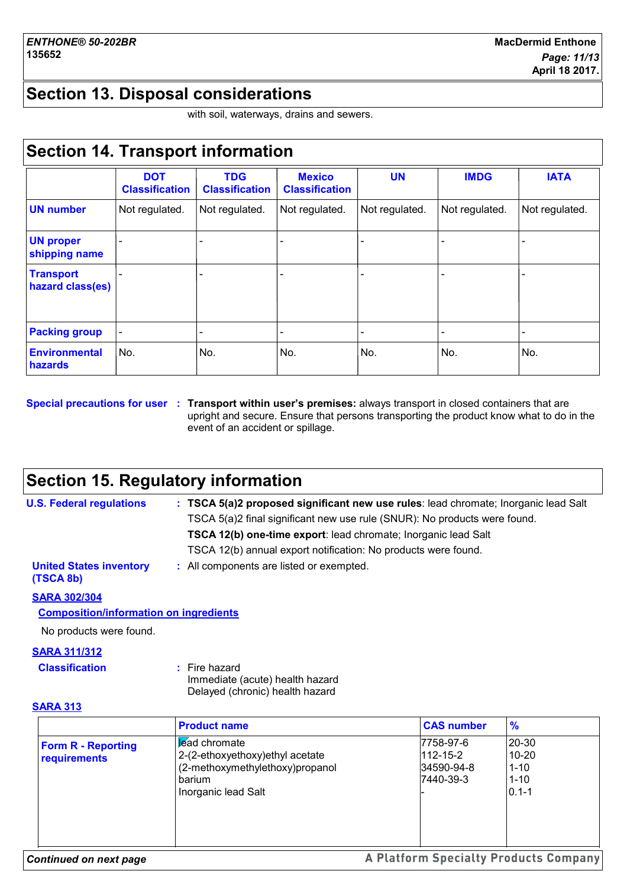## **Section 13. Disposal considerations**

with soil, waterways, drains and sewers.

## **Section 14. Transport information**

|                                      | <b>DOT</b><br><b>Classification</b> | <b>TDG</b><br><b>Classification</b> | <b>Mexico</b><br><b>Classification</b> | <b>UN</b>      | <b>IMDG</b>    | <b>IATA</b>    |
|--------------------------------------|-------------------------------------|-------------------------------------|----------------------------------------|----------------|----------------|----------------|
| <b>UN number</b>                     | Not regulated.                      | Not regulated.                      | Not regulated.                         | Not regulated. | Not regulated. | Not regulated. |
| <b>UN proper</b><br>shipping name    |                                     |                                     |                                        |                |                |                |
| <b>Transport</b><br>hazard class(es) |                                     |                                     |                                        |                |                |                |
| <b>Packing group</b>                 |                                     |                                     |                                        |                |                | -              |
| <b>Environmental</b><br>hazards      | No.                                 | No.                                 | No.                                    | No.            | No.            | No.            |

#### **Special precautions for user Transport within user's premises:** always transport in closed containers that are **:** upright and secure. Ensure that persons transporting the product know what to do in the event of an accident or spillage.

## **Section 15. Regulatory information**

| <b>U.S. Federal regulations</b>             | : TSCA 5(a)2 proposed significant new use rules: lead chromate; Inorganic lead Salt |
|---------------------------------------------|-------------------------------------------------------------------------------------|
|                                             | TSCA 5(a)2 final significant new use rule (SNUR): No products were found.           |
|                                             | TSCA 12(b) one-time export: lead chromate; Inorganic lead Salt                      |
|                                             | TSCA 12(b) annual export notification: No products were found.                      |
| <b>United States inventory</b><br>(TSCA 8b) | : All components are listed or exempted.                                            |

#### **SARA 302/304**

## **Composition/information on ingredients**

No products were found.

## **SARA 311/312**

| <b>Classification</b> | $:$ Fire hazard   |
|-----------------------|-------------------|
|                       | Immodiato (aouto) |

Immediate (acute) health hazard Delayed (chronic) health hazard

#### **SARA 313**

|                                           | <b>Product name</b>                                                                                                         | <b>CAS number</b>                                      | $\frac{0}{2}$                                           |
|-------------------------------------------|-----------------------------------------------------------------------------------------------------------------------------|--------------------------------------------------------|---------------------------------------------------------|
| <b>Form R - Reporting</b><br>requirements | <b>Ead chromate</b><br>2-(2-ethoxyethoxy) ethyl acetate<br>(2-methoxymethylethoxy)propanol<br>barium<br>Inorganic lead Salt | 7758-97-6<br>$112 - 15 - 2$<br>34590-94-8<br>7440-39-3 | 20-30<br>$10 - 20$<br>$1 - 10$<br>$1 - 10$<br>$0.1 - 1$ |

#### *Continued on next page*

## A Platform Specialty Products Company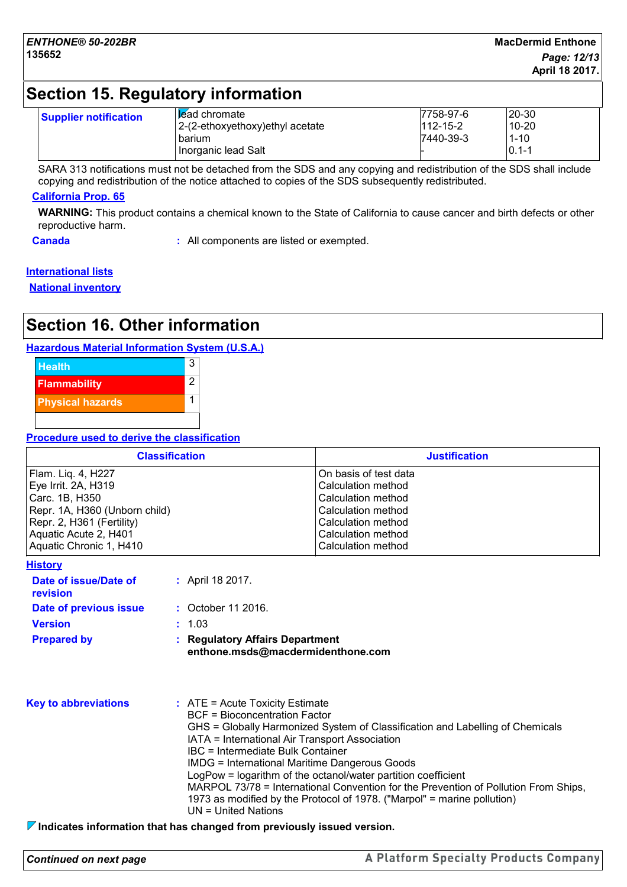## **Section 15. Regulatory information**

| <b>Supplier notification</b> | I lead chromate<br>2-(2-ethoxyethoxy) ethyl acetate | 7758-97-6<br>$112 - 15 - 2$ | $20 - 30$<br>$10 - 20$ |
|------------------------------|-----------------------------------------------------|-----------------------------|------------------------|
|                              | barium                                              | 7440-39-3                   | $1 - 10$               |
|                              | Inorganic lead Salt                                 |                             | $10.1 - 1$             |

SARA 313 notifications must not be detached from the SDS and any copying and redistribution of the SDS shall include copying and redistribution of the notice attached to copies of the SDS subsequently redistributed.

#### **California Prop. 65**

**WARNING:** This product contains a chemical known to the State of California to cause cancer and birth defects or other reproductive harm.

**Canada :** All components are listed or exempted.

# **International lists**

**National inventory**

# **Section 16. Other information**

#### **Hazardous Material Information System (U.S.A.)**



#### **Procedure used to derive the classification**

| <b>Classification</b>         | <b>Justification</b>  |
|-------------------------------|-----------------------|
| Flam. Liq. 4, H227            | On basis of test data |
| Eye Irrit. 2A, H319           | Calculation method    |
| Carc. 1B, H350                | Calculation method    |
| Repr. 1A, H360 (Unborn child) | Calculation method    |
| Repr. 2, H361 (Fertility)     | Calculation method    |
| Aquatic Acute 2, H401         | Calculation method    |
| Aquatic Chronic 1, H410       | Calculation method    |

|  | Historv |  |  |
|--|---------|--|--|
|  |         |  |  |

| Date of issue/Date of<br><b>revision</b> | : April 18 2017.                                                     |
|------------------------------------------|----------------------------------------------------------------------|
| Date of previous issue                   | : October 11 2016.                                                   |
| <b>Version</b>                           | : 1.03                                                               |
| <b>Prepared by</b>                       | : Regulatory Affairs Department<br>enthone.msds@macdermidenthone.com |

| <b>Key to abbreviations</b> | $\therefore$ ATE = Acute Toxicity Estimate<br><b>BCF</b> = Bioconcentration Factor<br>GHS = Globally Harmonized System of Classification and Labelling of Chemicals<br>IATA = International Air Transport Association<br>IBC = Intermediate Bulk Container<br>IMDG = International Maritime Dangerous Goods<br>LogPow = logarithm of the octanol/water partition coefficient<br>MARPOL 73/78 = International Convention for the Prevention of Pollution From Ships, |
|-----------------------------|---------------------------------------------------------------------------------------------------------------------------------------------------------------------------------------------------------------------------------------------------------------------------------------------------------------------------------------------------------------------------------------------------------------------------------------------------------------------|
|                             | 1973 as modified by the Protocol of 1978. ("Marpol" = marine pollution)<br>UN = United Nations                                                                                                                                                                                                                                                                                                                                                                      |

**Indicates information that has changed from previously issued version.**

*Continued on next page*